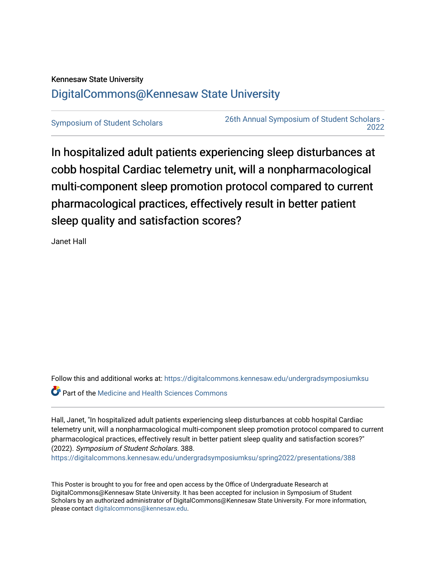# Kennesaw State University [DigitalCommons@Kennesaw State University](https://digitalcommons.kennesaw.edu/)

[Symposium of Student Scholars](https://digitalcommons.kennesaw.edu/undergradsymposiumksu) [26th Annual Symposium of Student Scholars -](https://digitalcommons.kennesaw.edu/undergradsymposiumksu/spring2022)  [2022](https://digitalcommons.kennesaw.edu/undergradsymposiumksu/spring2022) 

In hospitalized adult patients experiencing sleep disturbances at cobb hospital Cardiac telemetry unit, will a nonpharmacological multi-component sleep promotion protocol compared to current pharmacological practices, effectively result in better patient sleep quality and satisfaction scores?

Janet Hall

Follow this and additional works at: [https://digitalcommons.kennesaw.edu/undergradsymposiumksu](https://digitalcommons.kennesaw.edu/undergradsymposiumksu?utm_source=digitalcommons.kennesaw.edu%2Fundergradsymposiumksu%2Fspring2022%2Fpresentations%2F388&utm_medium=PDF&utm_campaign=PDFCoverPages) 

**P** Part of the Medicine and Health Sciences Commons

Hall, Janet, "In hospitalized adult patients experiencing sleep disturbances at cobb hospital Cardiac telemetry unit, will a nonpharmacological multi-component sleep promotion protocol compared to current pharmacological practices, effectively result in better patient sleep quality and satisfaction scores?" (2022). Symposium of Student Scholars. 388.

[https://digitalcommons.kennesaw.edu/undergradsymposiumksu/spring2022/presentations/388](https://digitalcommons.kennesaw.edu/undergradsymposiumksu/spring2022/presentations/388?utm_source=digitalcommons.kennesaw.edu%2Fundergradsymposiumksu%2Fspring2022%2Fpresentations%2F388&utm_medium=PDF&utm_campaign=PDFCoverPages)

This Poster is brought to you for free and open access by the Office of Undergraduate Research at DigitalCommons@Kennesaw State University. It has been accepted for inclusion in Symposium of Student Scholars by an authorized administrator of DigitalCommons@Kennesaw State University. For more information, please contact [digitalcommons@kennesaw.edu.](mailto:digitalcommons@kennesaw.edu)